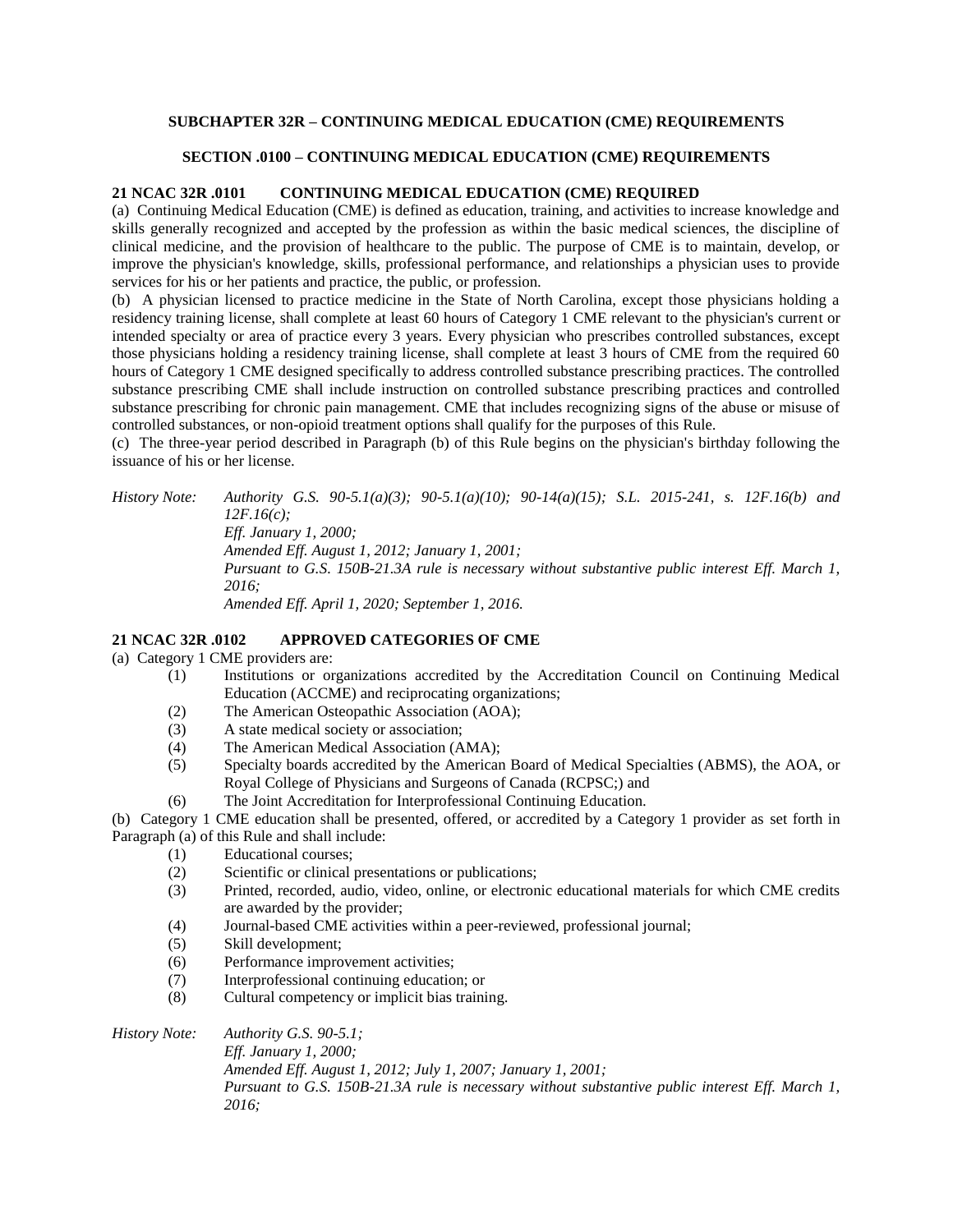## **SUBCHAPTER 32R – CONTINUING MEDICAL EDUCATION (CME) REQUIREMENTS**

#### **SECTION .0100 – CONTINUING MEDICAL EDUCATION (CME) REQUIREMENTS**

#### **21 NCAC 32R .0101 CONTINUING MEDICAL EDUCATION (CME) REQUIRED**

(a) Continuing Medical Education (CME) is defined as education, training, and activities to increase knowledge and skills generally recognized and accepted by the profession as within the basic medical sciences, the discipline of clinical medicine, and the provision of healthcare to the public. The purpose of CME is to maintain, develop, or improve the physician's knowledge, skills, professional performance, and relationships a physician uses to provide services for his or her patients and practice, the public, or profession.

(b) A physician licensed to practice medicine in the State of North Carolina, except those physicians holding a residency training license, shall complete at least 60 hours of Category 1 CME relevant to the physician's current or intended specialty or area of practice every 3 years. Every physician who prescribes controlled substances, except those physicians holding a residency training license, shall complete at least 3 hours of CME from the required 60 hours of Category 1 CME designed specifically to address controlled substance prescribing practices. The controlled substance prescribing CME shall include instruction on controlled substance prescribing practices and controlled substance prescribing for chronic pain management. CME that includes recognizing signs of the abuse or misuse of controlled substances, or non-opioid treatment options shall qualify for the purposes of this Rule.

(c) The three-year period described in Paragraph (b) of this Rule begins on the physician's birthday following the issuance of his or her license.

# *History Note: Authority G.S. 90-5.1(a)(3); 90-5.1(a)(10); 90-14(a)(15); S.L. 2015-241, s. 12F.16(b) and 12F.16(c); Eff. January 1, 2000; Amended Eff. August 1, 2012; January 1, 2001;*

*Pursuant to G.S. 150B-21.3A rule is necessary without substantive public interest Eff. March 1, 2016;*

*Amended Eff. April 1, 2020; September 1, 2016.*

### **21 NCAC 32R .0102 APPROVED CATEGORIES OF CME**

- (a) Category 1 CME providers are:
	- (1) Institutions or organizations accredited by the Accreditation Council on Continuing Medical Education (ACCME) and reciprocating organizations;
		- (2) The American Osteopathic Association (AOA);
	- (3) A state medical society or association;
	- (4) The American Medical Association (AMA);
	- (5) Specialty boards accredited by the American Board of Medical Specialties (ABMS), the AOA, or Royal College of Physicians and Surgeons of Canada (RCPSC;) and
	- (6) The Joint Accreditation for Interprofessional Continuing Education.

(b) Category 1 CME education shall be presented, offered, or accredited by a Category 1 provider as set forth in Paragraph (a) of this Rule and shall include:

- (1) Educational courses;
- (2) Scientific or clinical presentations or publications;
- (3) Printed, recorded, audio, video, online, or electronic educational materials for which CME credits are awarded by the provider;
- (4) Journal-based CME activities within a peer-reviewed, professional journal;
- (5) Skill development;
- (6) Performance improvement activities;
- (7) Interprofessional continuing education; or
- (8) Cultural competency or implicit bias training.

*History Note: Authority G.S. 90-5.1;*

*Eff. January 1, 2000; Amended Eff. August 1, 2012; July 1, 2007; January 1, 2001; Pursuant to G.S. 150B-21.3A rule is necessary without substantive public interest Eff. March 1, 2016;*